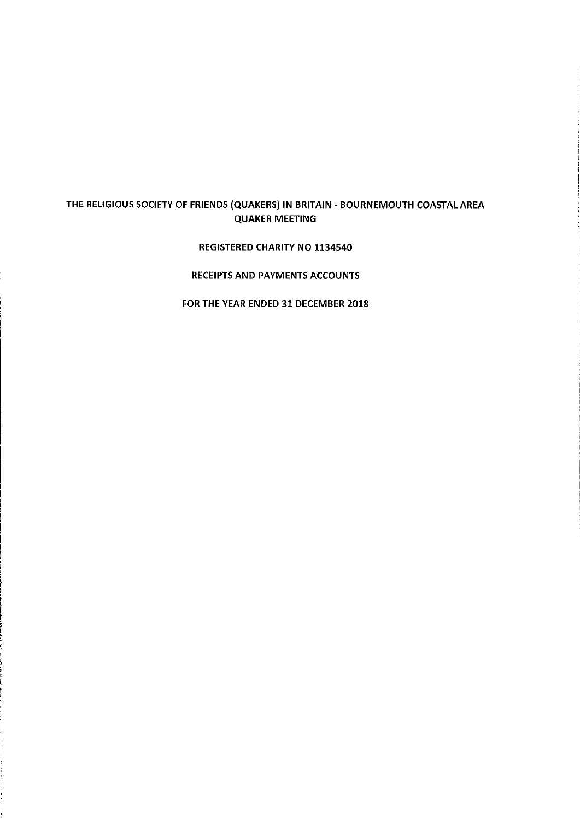### THE RELIGIOUS SOCIETY OF FRIENDS (QUAKERS) IN BRITAIN - BOURNEMOUTH COASTAL AREA QUAKER MEETING

### REGISTERED CHARITY NO 1134540

### RECEIPTS AND PAYMENTS ACCOUNTS

FOR THE YEAR ENDED 31 DECEMBER 2018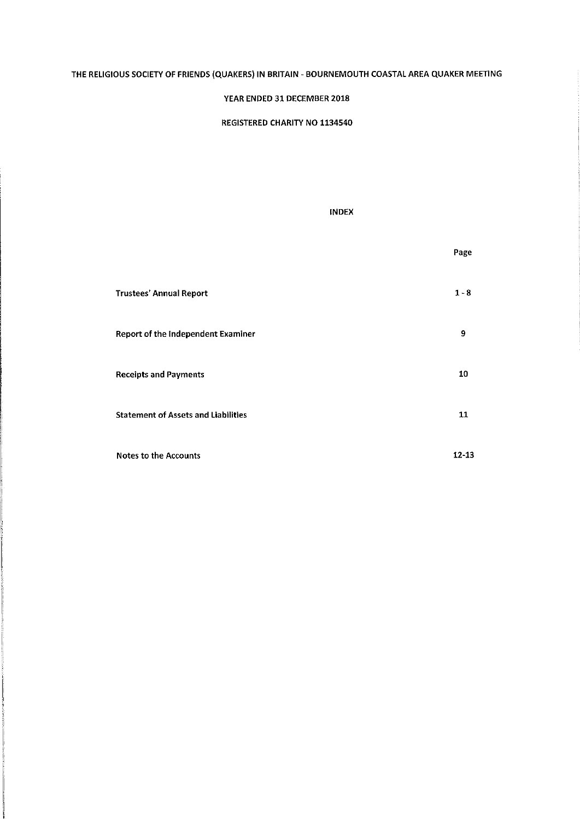### THE RELIGIOUS SOCIETY OF FRIENDS (QUAKERS) IN BRITAIN - BOURNEMOUTH COASTAL AREA QUAKER MEETING

### YEAR ENDED 31 DECEMBER 2018

REGISTERED CHARITY NO 1134540

### INDEX

|                                            | Page      |
|--------------------------------------------|-----------|
| <b>Trustees' Annual Report</b>             | $1 - 8$   |
| Report of the Independent Examiner         | 9         |
| <b>Receipts and Payments</b>               | 10        |
| <b>Statement of Assets and Liabilities</b> | 11        |
| <b>Notes to the Accounts</b>               | $12 - 13$ |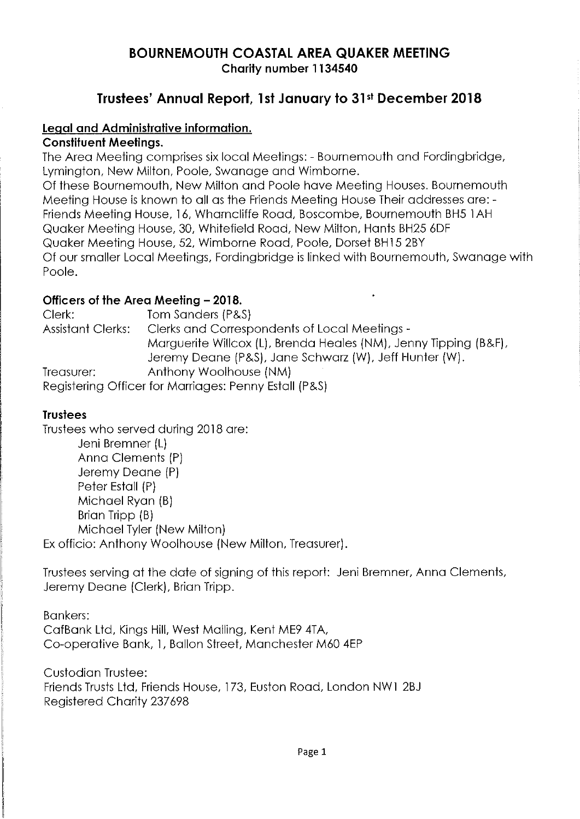# BOURNEMOUTH COASTAL AREA QUAKER MEETING Charity number 1134540

# Trustees' Annual Report, 1st January to 31» December 2018

### Legal and Administrative information.

### Constituent Meetings.

The Area Meeting comprises six local Meetings: — Bournemouth and Fordingbridge, Lymington, New Milton, Poole, Swanage and Wimborne. Of these Bournemouth, New Milton and Poole have Meeting Houses. Bournemouth Meeting House is known to all as the Friends Meeting House Their addresses are:- Friends Meeting House, 16, Wharncliffe Road, Boscombe, Bournemouth BH5 1AH Quaker Meeting House, 30, Whitefield Road, New Milton, Hants BH25 6DF Quaker Meeting House, 52, Wimborne Road, Poole, Dorset BH15 2BY Of our smaller Local Meetings, Fordingbridge is linked with Bournemouth, Swanage with Poole.

# **Officers of the Area Meeting – 2018.**<br>Clerk: Tom Sanders (P&)

Clerk: Tom Sanders (P8,S) Clerks and Correspondents of Local Meetings -Marguerite Willcox (L), Brenda Heales (NM), Jenny Tipping (B8,F), Jeremy Deane (P8S), Jane Schwarz (W), Jeff Hunter (W). Treasurer: Anthony Woolhouse (NM) Registering Officer for Marriages: Penny Estall (PB,S)

## **Trustees**

Trustees who served during 2018 are: Jeni Bremner (L) Anna Clements (P) Jeremy Deane (P) Peter Estall (P) Michael Ryan (B) Brian Tripp (B) Michael Tyler (New Milton) Ex officio: Anthony Woolhouse (New Milton, Treasurer).

Trustees serving at the date of signing of this report: Jeni Bremner, Anna Clements, Jeremy Deane (Clerk), Brian Tripp.

Bankers: CafBank Ltd, Kings Hill, West Mailing, Kent ME9 4TA, Co-operative Bank, 1, Ballon Street, Manchester M60 4EP

Custodian Trustee: Friends Trusts Ltd, Friends House, 173, Euston Road, London NW1 2BJ Registered Charity 237698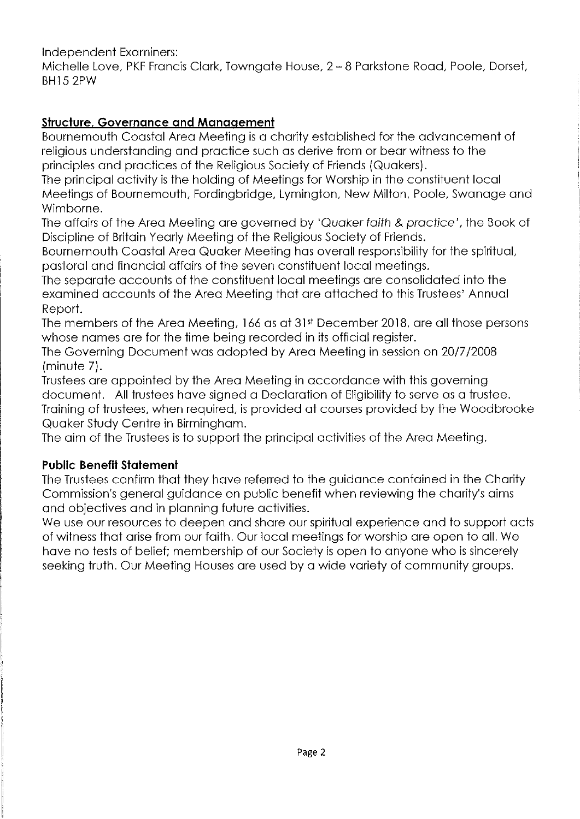Independent Examiners:

Michelle Love, PKF Francis Clark, Towngate House, 2 —8 Parkstone Road, Poole, Dorset, BH15 2PW

## Structure, Governance and Management

Bournemouth Coastal Area Meeting is a charity established for the advancement of religious understanding and practice such as derive from or bear witness to the principles and practices of the Religious Society of Friends (Quakers).

The principal activity is the holding of Meetings for Worship in the constituent local Meetings of Bournemouth, Fordingbridge, Lymington, New Milton, Poole, Swanage and Wimborne.

The affairs of the Area Meeting are governed by 'Quaker faith & practice', the Book of Discipline of Britain Yearly Meeting of the Religious Society of Friends.

Bournemouth Coastal Area Quaker Meeting has overall responsibility for the spiritual, pastoral and financial affairs of the seven constituent local meetings.

The separate accounts of the constituent local meetings are consolidated into the examined accounts of the Area Meeting that are attached to this Trustees' Annual Report.

The members of the Area Meeting, 166 as at 31» December 2018, are all those persons whose names are for the time being recorded in its official register.

The Governing Document was adopted by Area Meeting in session on 20/7/2008 (minute 7).

Trustees are appointed by the Area Meeting in accordance with this governing document. All trustees have signed a Declaration of Eligibility to serve as a trustee. Training of trustees, when required, is provided at courses provided by the Woodbrooke Quaker Study Centre in Birmingham.

The aim of the Trustees is to support the principal activities of the Area Meeting.

## Public Benefit Statement

The Trustees confirm that they have referred to the guidance contained in the Charity Commission's general guidance on public benefit when reviewing the charity's aims and objectives and in planning future activities.

We use our resources to deepen and share our spiritual experience and to support acts of witness that arise from our faith. Our local meetings for worship are open to all. We have no tests of belief; membership of our Society is open to anyone who is sincerely seeking truth. Our Meeting Houses are used by a wide variety of community groups.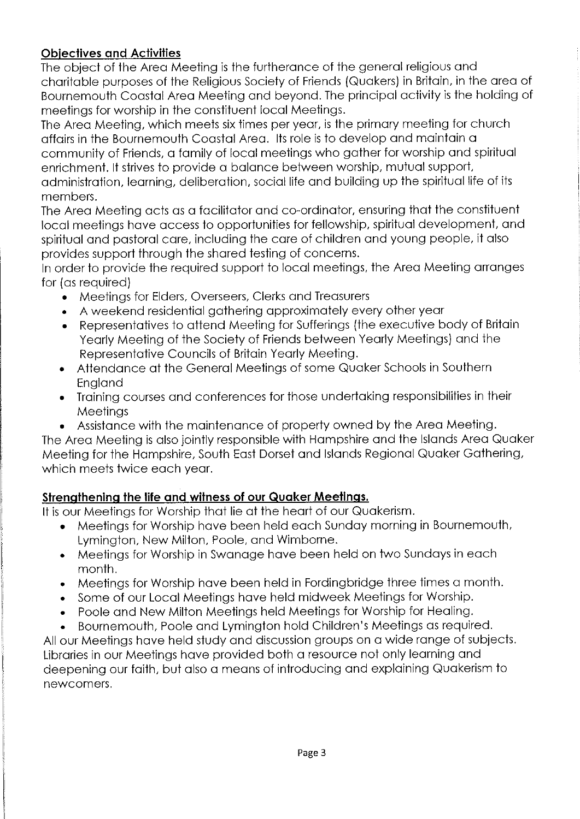# **Objectives and Activities**

The object of the Area Meeting is the furtherance of the general religious and charitable purposes of the Religious Society of Friends (Quakers) in Britain, in the area of Bournemouth Coastal Area Meeting and beyond. The principal activity is the holding of meetings for worship in the constituent local Meetings.

The Area Meeting, which meets six times per year, is the primary meeting for church affairs in the Bournemouth Coastal Area. Its role is to develop and maintain a community of Friends, a family of local meetings who gather for worship and spiritual enrichment. It strives to provide a balance between worship, mutual support, administration, learning, deliberation, social life and building up the spiritual life of its members.

The Area Meeting acts as a facilitator and co-ordinator, ensuring that the constituent local meetings have access to opportunities for fellowship, spiritual development, and spiritual and pastoral care, including the care of children and young people, it also provides support through the shared testing of concerns.

In order to provide the required support to local meetings, the Area Meeting arranges for (as required)

- <sup>~</sup> Meetings for Elders, Overseers, Clerks and Treasurers
- <sup>~</sup> A weekend residential gathering approximately every other year
- Representatives to attend Meeting for Sufferings (the executive body of Britain Yearly Meeting of the Society of Friends between Yearly Meetings) and the Representative Councils of Britain Yearly Meeting.
- <sup>~</sup> Attendance at the General Meetings of some Quaker Schools in Southern England
- <sup>~</sup> Training courses and conferences for those undertaking responsibilities in their **Meetings**
- Assistance with the maintenance of property owned by the Area Meeting.

The Area Meeting is also jointly responsible with Hampshire and the Islands Area Quaker Meeting for the Hampshire, South East Dorset and Islands Regional Quaker Gathering, which meets twice each year.

# Strengthening the life and witness of our Quaker Meetings.

It is our Meetings for Worship that lie at the heart of our Quakerism.

- <sup>~</sup> Meetings for Worship have been held each Sunday morning in Bournemouth, Lymington, New Milton, Poole, and Wimborne.
- <sup>~</sup> Meetings for Worship in Swanage have been held on two Sundays in each month.
- <sup>~</sup> Meetings for Worship have been held in Fordingbridge three times a month.
- <sup>~</sup> Some of our Local Meetings have held midweek Meetings for Worship.
- <sup>~</sup> Poole and New Milton Meetings held Meetings for Worship for Healing.
- Bournemouth, Poole and Lymington hold Children's Meetings as required.

All our Meetings have held study and discussion groups on a wide range of subjects. Libraries in our Meetings have provided both a resource not only learning and deepening our faith, but also a means of introducing and explaining Quakerism to newcomers.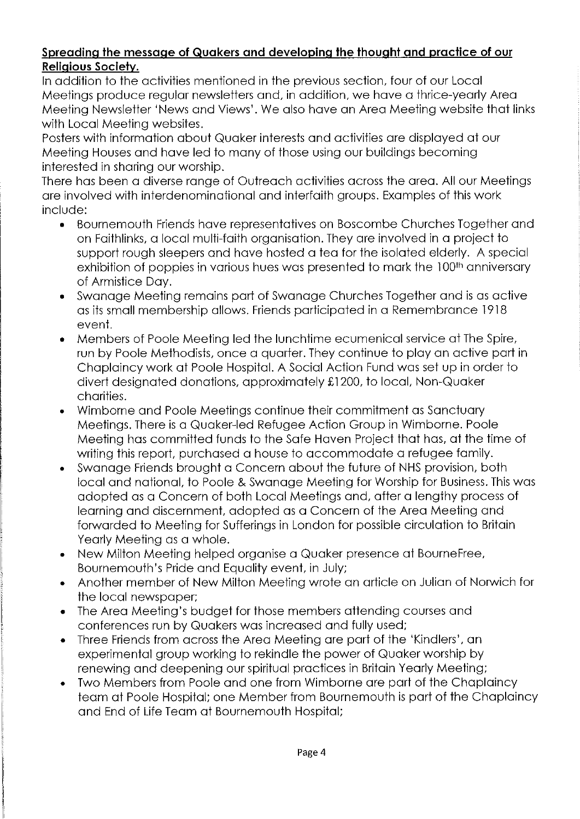### Spreading the message of Quakers and developing the thought and practice of our Religious Society.

In addition to the activities mentioned in the previous section, four of our Local Meetings produce regular newsletters and, in addition, we have a thrice-yearly Area Meeting Newsletter 'News and Views'. We also have an Area Meeting website that links with Local Meeting websites.

Posters with information about Quaker interests and activities are displayed at our Meeting Houses and have led to many of those using our buildings becoming interested in sharing our worship.

There has been a diverse range of Outreach activities across the area. All our Meetings are involved with interdenominational and interfaith groups. Examples of this work include:

- <sup>~</sup> Bournemouth Friends have representatives on Boscombe Churches Together and on Faithlinks, a local multi-faith organisation. They are involved in a project to support rough sleepers and have hosted a tea for the isolated elderly. A special exhibition of poppies in various hues was presented to mark the 100<sup>th</sup> anniversary of Armistice Day.
- <sup>~</sup> Swanage Meeting remains part of Swanage Churches Together and is as active as its small membership allows. Friends participated in a Remembrance 1918 event.
- <sup>~</sup> Members of Poole Meeting led the lunchtime ecumenical service at The Spire, run by Poole Methodists, once a quarter. They continue to play an active part in Chaplaincy work at Poole Hospital. A Social Action Fund was set up in order to divert designated donations, approximately £1200, to local, Non-Quaker charities.
- <sup>~</sup> Wimborne and Poole Meetings continue their commitment as Sanctuary Meetings. There is a Quaker-led Refugee Action Group in Wimborne. Poole Meeting has committed funds to the Safe Haven Project that has, at the time of writing this report, purchased a house to accommodate a refugee family.
- <sup>~</sup> Swanage Friends brought a Concern about the future of NHS provision, both local and national, to Poole & Swanage Meeting for Worship for Business. This was adopted as a Concern of both Local Meetings and, after a lengthy process of learning and discernment, adopted as a Concern of the Area Meeting and forwarded to Meeting for Sufferings in London for possible circulation to Britain Yearly Meeting as a whole.
- <sup>~</sup> New Milton Meeting helped organise a Quaker presence at BourneFree, Bournemouth's Pride and Equality event, in July;
- <sup>~</sup> Another member of New Milton Meeting wrote an article on Julian of Norwich for the local newspaper;
- <sup>~</sup> The Area Meeting's budget for those members attending courses and conferences run by Quakers was increased and fully used;
- <sup>~</sup> Three Friends from across the Area Meeting are part of the 'Kindlers', an experimental group working to rekindle the power of Quaker worship by renewing and deepening our spiritual practices in Britain Yearly Meeting;
- Two Members from Poole and one from Wimborne are part of the Chaplaincy team at Poole Hospital; one Member from Bournemouth is part of the Chaplaincy and End of Life Team at Bournemouth Hospital;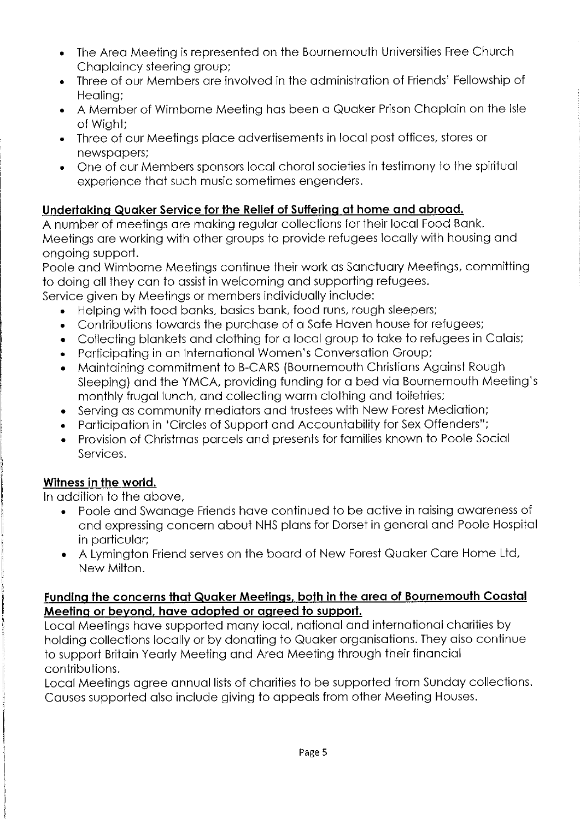- <sup>~</sup> The Area Meeting is represented on the Bournemouth Universities Free Church Chaplaincy steering group;
- <sup>~</sup> Three of our Members are involved in the administration of Friends' Fellowship of Healing;
- A Member of Wimborne Meeting has been a Quaker Prison Chaplain on the Isle of Wight;
- <sup>~</sup> Three of our Meetings place advertisements in local post offices, stores or newspapers;
- <sup>~</sup> One of our Members sponsors local choral societies in testimony to the spiritual experience that such music sometimes engenders.

# Undertaking Quaker Service for the Relief of Suffering at home and abroad.

A number of meetings are making regular collections for their local Food Bank. Meetings are working with other groups to provide refugees locally with housing and ongoing support.

Poole and Wimborne Meetings continue their work as Sanctuary Meetings, committing to doing all they can to assist in welcoming and supporting refugees.

Service given by Meetings or members individually include:

- <sup>~</sup> Helping with food banks, basics bank, food runs, rough sleepers;
- <sup>~</sup> Contributions towards the purchase of a Safe Haven house for refugees;
- <sup>~</sup> Collecting blankets and clothing for a local group to take to refugees in Calais;
- <sup>~</sup> Participating in an International Women's Conversation Group;
- <sup>~</sup> Maintaining commitment to B-CARS (Bournemouth Christians Against Rough Sleeping) and the YMCA, providing funding for a bed via Bournemouth Meeting's monthly frugal lunch, and collecting warm clothing and toiletries;
- <sup>~</sup> Serving as community mediators and trustees with New Forest Mediation;
- <sup>~</sup> Participation in 'Circles of Support and Accountability for Sex Offenders";
- <sup>~</sup> Provision of Christmas parcels and presents for families known to Poole Social Services.

# Witness in the world.

In addition to the above,

- Poole and Swanage Friends have continued to be active in raising awareness of and expressing concern about NHS plans for Dorset in general and Poole Hospital in particular;
- <sup>~</sup> A Lymington Friend serves on the board of New Forest Quaker Care Home Ltd, New Milton.

### Funding the concerns that Quaker Meetings, both in the area of Bournemouth Coastal Meeting or beyond, have adopted or agreed to support.

Local Meetings have supported many local, national and international charities by holding collections locally or by donating to Quaker organisations. They also continue to support Britain Yearly Meeting and Area Meeting through their financial contributions.

Local Meetings agree annual lists of charities to be supported from Sunday collections. Causes supported also include giving to appeals from other Meeting Houses.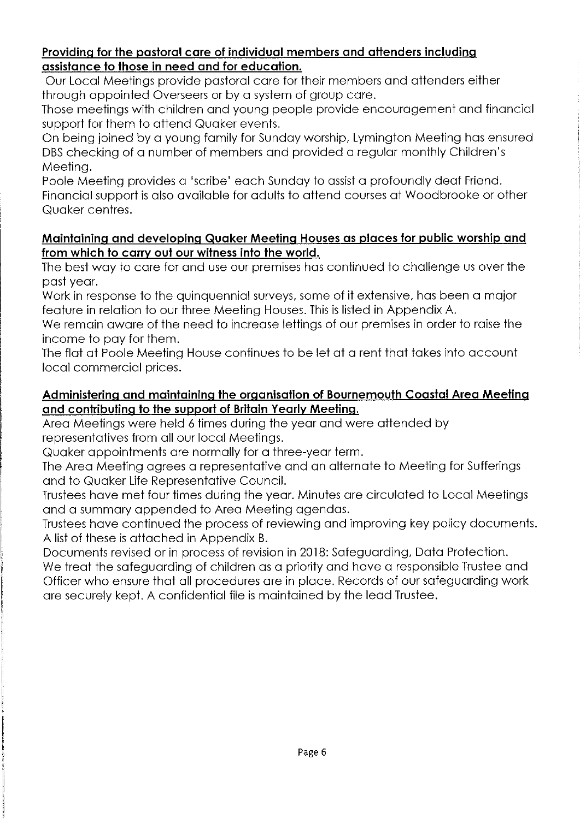### Providing for the pastoral care of individual members and attenders including assistance to those in need and for education.

Our Local Meetings provide pastoral care for their members and attenders either through appointed Overseers or by a system of group care.

Those meetings with children and young people provide encouragement and financial support for them to attend Quaker events.

On being joined by a young family for Sunday worship, Lymington Meeting has ensured DBS checking of a number of members and provided a regular monthly Children's Meeting.

Poole Meeting provides a 'scribe' each Sunday to assist a profoundly deaf Friend. Financial support is also available for adults to attend courses at Woodbrooke or other Quaker centres.

### Maintaining and developing Quaker Meeting Houses as places for public worship and from which to carry out our witness into the world.

The best way to care for and use our premises has continued to challenge us over the past year.

Work in response to the quinquennial surveys, some of it extensive, has been a major feature in relation to our three Meeting Houses. This is listed in Appendix A.

We remain aware of the need to increase lettings of our premises in order to raise the income to pay for them.

The flat at Poole Meeting House continues to be let at a rent that takes into account local commercial prices.

## Administering and maintaining the organisation of Bournemouth Coastal Area Meeting and contributing to the support of Britain Yearly Meeting.

Area Meetings were held 6 times during the year and were attended by representatives from all our local Meetings.

Quaker appointments are normally for a three-year term.

The Area Meeting agrees a representative and an alternate to Meeting for Sufferings and to Quaker Life Representative Council.

Trustees have met four times during the year. Minutes are circulated to Local Meetings and a summary appended to Area Meeting agendas.

Trustees have continued the process of reviewing and improving key policy documents. A list of these is attached in Appendix B.

Documents revised or in process of revision in 2018: Safeguarding, Data Protection. We treat the safeguarding of children as a priority and have a responsible Trustee and Officer who ensure that all procedures are in place. Records of our safeguarding work are securely kept. A confidential file is maintained by the lead Trustee.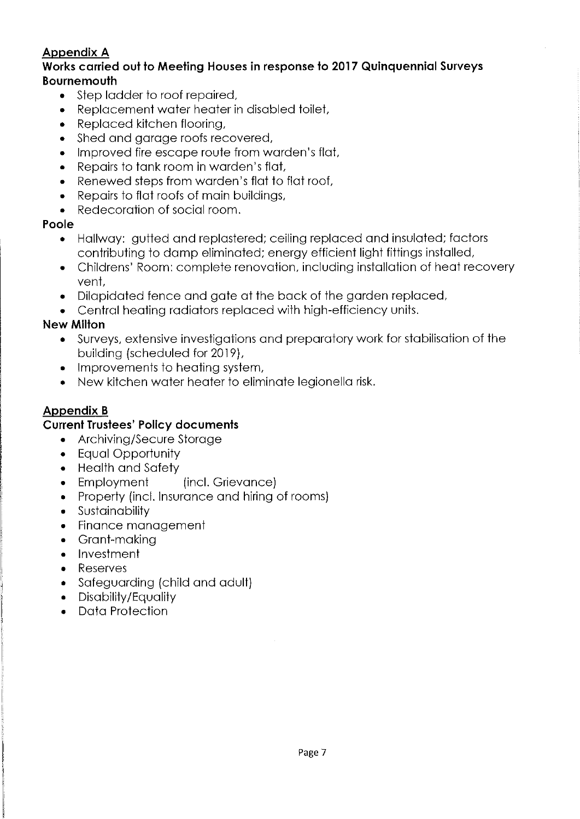# Appendix A

### Works carried out to Meeting Houses in response to 2017 Quinquennial Surveys Bournemouth

- <sup>~</sup> Step ladder to roof repaired,
- <sup>~</sup> Replacement water heater in disabled toilet,
- <sup>~</sup> Replaced kitchen flooring,
- <sup>~</sup> Shed and garage roofs recovered,
- <sup>~</sup> Improved fire escape route from warden's flat,
- <sup>~</sup> Repairs to tank room in warden's flat,
- <sup>~</sup> Renewed steps from warden's flat to flat roof,
- <sup>~</sup> Repairs to flat roofs of main buildings,
- <sup>~</sup> Redecoration of social room.

### Poole

- <sup>~</sup> Hallway: gutted and replastered; ceiling replaced and insulated; factors contributing to damp eliminated; energy efficient light fittings installed,
- <sup>~</sup> Childrens' Room: complete renovation, including installation of heat recovery vent,
- <sup>~</sup> Dilapidated fence and gate at the back of the garden replaced,
- <sup>~</sup> Central heating radiators replaced with high-efficiency units.

## New Milton

- <sup>~</sup> Surveys, extensive investigations and preparatory work for stabilisation of the building (scheduled for 2019),
- Improvements to heating system,
- <sup>~</sup> New kitchen water heater to eliminate legionella risk.

# Appendix B

## Current Trustees' Policy documents

- <sup>~</sup> Archiving/Secure Storage
- ~ Equal Opportunity
- <sup>~</sup> Health and Safety
- Employment (incl. Grievance)
- <sup>~</sup> Property (incl. Insurance and hiring of rooms)
- ~ Sustainability
- <sup>~</sup> Finance management
- ~ Grant-making
- ~ Investment
- Reserves
- <sup>~</sup> Safeguarding (child and adult)
- ~ Disability/Equality
- <sup>~</sup> Data Protection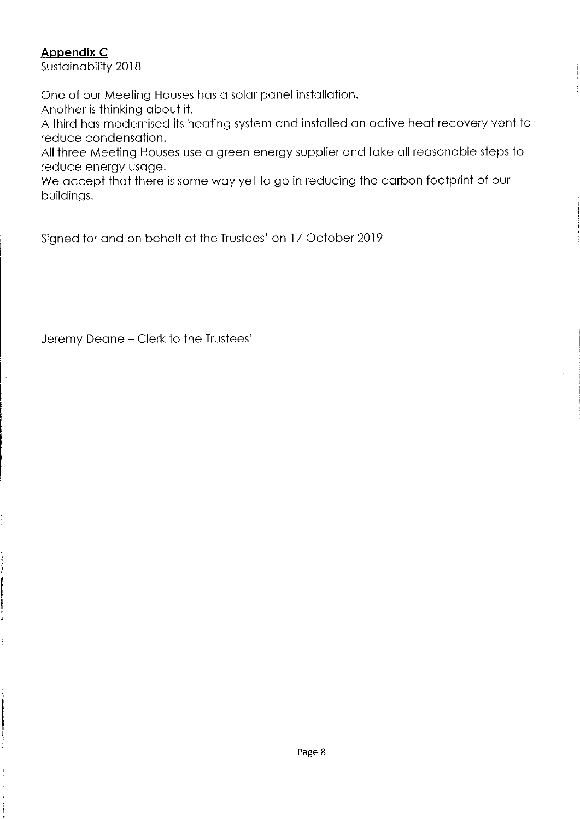# Appendix C

Sustainability 2018

One of our Meeting Houses has a solar panel installation.

Another is thinking about it.

A third has modernised its heating system and installed an active heat recovery vent to reduce condensation.

All three Meeting Houses use a green energy supplier and take all reasonable steps to reduce energy usage.

We accept that there is some way yet to go in reducing the carbon footprint of our buildings.

Signed for and on behalf of the Trustees' on 17 October 2019

Jeremy Deane —Clerk to the Trustees'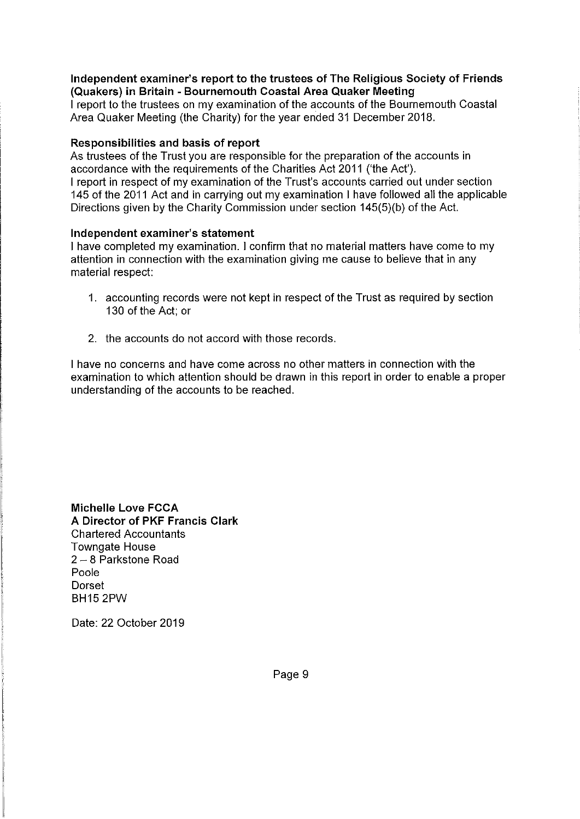### Independent examiner's report to the trustees of The Religious Society of Friends (Quakers) in Britain - Bournemouth Coastal Area Quaker Meeting

<sup>I</sup> report to the trustees on my examination of the accounts of the Bournemouth Coastal Area Quaker Meeting (the Charity) for the year ended 31 December 2018.

### Responsibilities and basis of report

As trustees of the Trust you are responsible for the preparation of the accounts in accordance with the requirements of the Charities Act 2011 ('the Act'). <sup>I</sup> report in respect of my examination of the Trust's accounts carried out under section 145 of the 2011 Act and in carrying out my examination <sup>I</sup> have followed all the applicable Directions given by the Charity Commission under section 145(5)(b) of the Act.

### Independent examiner's statement

<sup>I</sup> have completed my examination. <sup>I</sup> confirm that no material matters have come to my attention in connection with the examination giving me cause to believe that in any material respect:

- 1. accounting records were not kept in respect of the Trust as required by section 130 of the Act; or
- 2, the accounts do not accord with those records.

<sup>I</sup> have no concerns and have come across no other matters in connection with the examination to which attention should be drawn in this report in order to enable a proper understanding of the accounts to be reached.

Michelle Love FCCA A Director of PKF Francis Clark Chartered Accountants Towngate House <sup>2</sup> —8 Parkstone Road Poole Dorset BH15 2PW

Date: 22 October 2019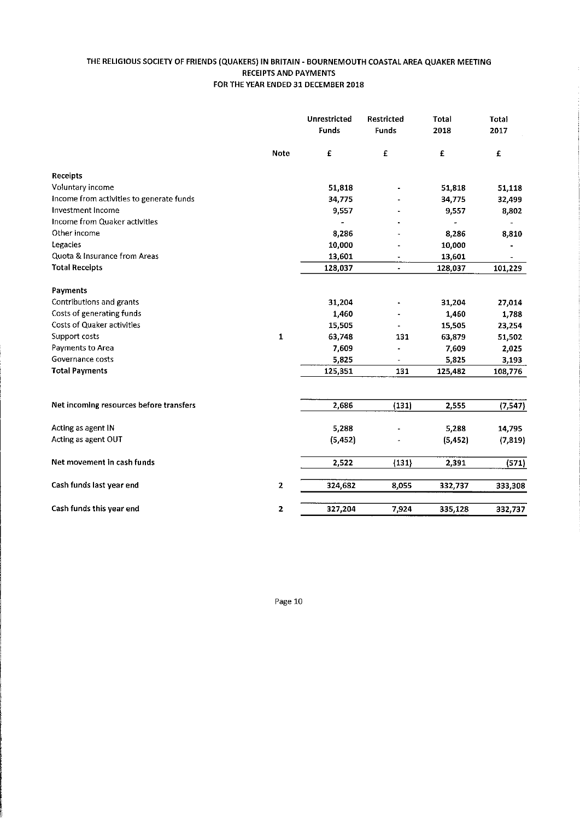### THE RELIGIOUS SOCIETY OF FRIENDS (QUAKERS) IN BRITAIN - BOURNEMOUTH COASTAL AREA QUAKER MEETING RECEIPTS AND PAYMENTS FOR THE YEAR ENDED 31 DECEMBER 2018

|                                          |                         | Unrestricted<br>Funds | Restricted<br>Funds      | Total<br>2018 | Total<br>2017 |
|------------------------------------------|-------------------------|-----------------------|--------------------------|---------------|---------------|
|                                          | <b>Note</b>             | £                     | £                        | £             | £             |
| <b>Receipts</b>                          |                         |                       |                          |               |               |
| Voluntary income                         |                         | 51,818                |                          | 51,818        | 51,118        |
| Income from activities to generate funds |                         | 34,775                |                          | 34,775        | 32,499        |
| Investment Income                        |                         | 9,557                 |                          | 9,557         | 8,802         |
| Income from Quaker activities            |                         |                       |                          |               |               |
| Other income                             |                         | 8,286                 |                          | 8,286         | 8,810         |
| Legacies                                 |                         | 10,000                |                          | 10,000        |               |
| Quota & Insurance from Areas             |                         | 13,601                |                          | 13,601        |               |
| <b>Total Receipts</b>                    |                         | 128,037               | $\overline{\phantom{a}}$ | 128,037       | 101,229       |
| <b>Payments</b>                          |                         |                       |                          |               |               |
| Contributions and grants                 |                         | 31,204                |                          | 31,204        | 27,014        |
| Costs of generating funds                |                         | 1,460                 |                          | 1,460         | 1,788         |
| <b>Costs of Quaker activities</b>        |                         | 15,505                |                          | 15,505        | 23,254        |
| Support costs                            | $\mathbf{1}$            | 63,748                | 131                      | 63,879        | 51,502        |
| Payments to Area                         |                         | 7,609                 |                          | 7,609         | 2,025         |
| Governance costs                         |                         | 5,825                 |                          | 5,825         | 3,193         |
| <b>Total Payments</b>                    |                         | 125,351               | 131                      | 125,482       | 108,776       |
|                                          |                         |                       |                          |               |               |
| Net incoming resources before transfers  |                         | 2,686                 | (131)                    | 2,555         | (7,547)       |
| Acting as agent IN                       |                         | 5,288                 |                          | 5,288         | 14,795        |
| Acting as agent OUT                      |                         | (5, 452)              |                          | (5, 452)      | (7, 819)      |
| Net movement in cash funds               |                         | 2,522                 | (131)                    | 2,391         | (571)         |
| Cash funds last year end                 | $\overline{\mathbf{z}}$ | 324,682               | 8,055                    | 332,737       | 333,308       |
| Cash funds this year end                 | $\mathbf{z}$            | 327,204               | 7,924                    | 335,128       | 332,737       |

Page 10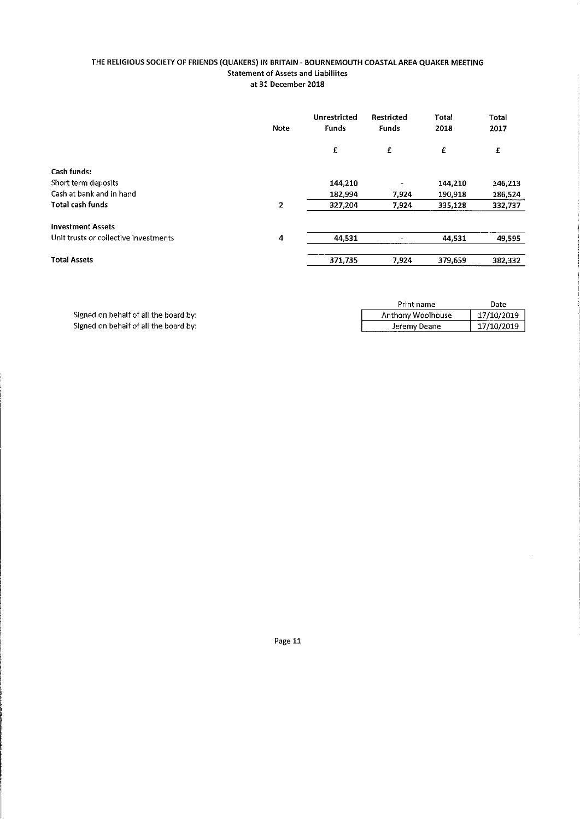### THE RELIGIOUS SOCIETY OF FRIENDS (QUAKERS) IN BRITAIN - BOURNEMOUTH COASTAL AREA QUAKER MEETING **Statement of Assets and Liabiliites** at 31 December 2018

|                                       | Note         | Unrestricted<br>Funds | Restricted<br><b>Funds</b> | Total<br>2018 | <b>Total</b><br>2017 |
|---------------------------------------|--------------|-----------------------|----------------------------|---------------|----------------------|
|                                       |              | £                     | £                          | £             | £                    |
| Cash funds:                           |              |                       |                            |               |                      |
| Short term deposits                   |              | 144,210               |                            | 144,210       | 146,213              |
| Cash at bank and in hand              |              | 182,994               | 7,924                      | 190,918       | 186,524              |
| <b>Total cash funds</b>               | $\mathbf{2}$ | 327,204               | 7,924                      | 335,128       | 332,737              |
| <b>Investment Assets</b>              |              |                       |                            |               |                      |
| Unit trusts or collective investments | 4            | 44,531                |                            | 44,531        | 49,595               |
| <b>Total Assets</b>                   |              | 371,735               | 7,924                      | 379,659       | 382,332              |

|                                       | Print name        | Date       |
|---------------------------------------|-------------------|------------|
| Signed on behalf of all the board by: | Anthony Woolhouse | 17/10/2019 |
| Signed on behalf of all the board by: | Jeremy Deane      | 17/10/2019 |

Page 11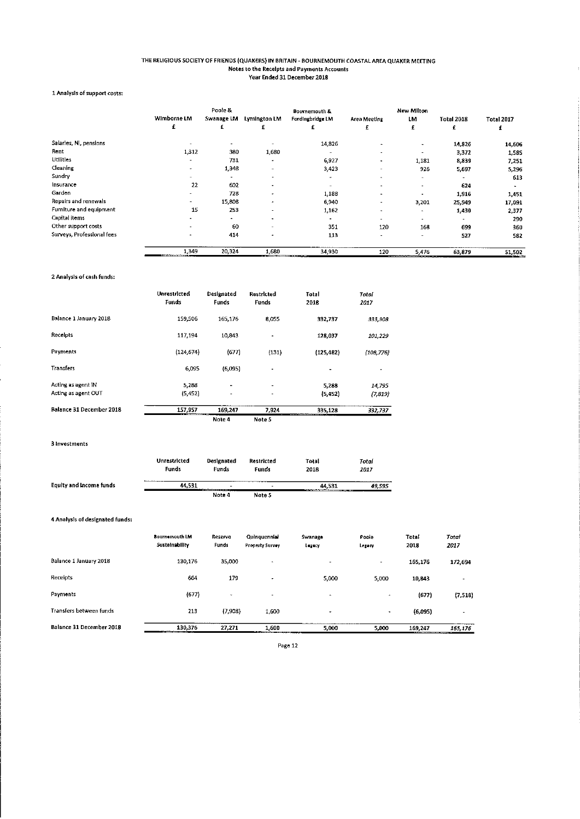### THE RELIGIOUS SOCIETY OF FRIENDS (QUAKERS) IN BRITAIN - BOURNEMOUTH COASTAL AREA QUAKER MEETING Notes to the Receipts and Payments Account Year Ended 31 December 2018

### 1 Analysis of support costs:

|                            | Wimborne LM    | Poole &<br>Swanage LM | Lymington LM             | <b>Bournemouth &amp;</b><br>Fordingbridge LM | Area Meeting             | New Milton<br>LM    | <b>Total 2018</b> | <b>Total 2017</b> |
|----------------------------|----------------|-----------------------|--------------------------|----------------------------------------------|--------------------------|---------------------|-------------------|-------------------|
|                            | £              | £                     |                          |                                              | £                        | £                   | £                 | £                 |
| Salarles, NI, pensions     |                |                       |                          | 14,826                                       | $\sim$                   | $\rightarrow$       | 14,826            | 14,606            |
| Rent                       | 1,312          | 380                   | 1,680                    | $\rightarrow$                                | $\blacksquare$           | ۰.                  | 3,372             | 1,585             |
| <b>Utilities</b>           | $\blacksquare$ | 731                   | $\overline{\phantom{a}}$ | 6,927                                        | ۰.                       | 1,181               | 8,839             | 7,251             |
| Cleaning                   |                | 1,348                 | $\sim$                   | 3,423                                        | ۰                        | 926                 | 5,697             | 5,296             |
| Sundry                     | ۰.             | $\blacksquare$        | $\bullet$                | ۰                                            | ۰                        | $\sim$              |                   | 613               |
| Insurance                  | 22             | 602                   |                          | $\overline{\phantom{m}}$                     | ۰                        | $\blacksquare$      | 624               |                   |
| Garden                     | ۰.             | 728                   |                          | 1,188                                        | $\blacksquare$           | ٠                   | 1,916             | 1,451             |
| Repairs and renewals       |                | 15,808                |                          | 6,940                                        | ۰                        | 3,201               | 25,949            | 17,091            |
| Furniture and equipment    | 15             | 253                   |                          | 1,162                                        | ٠                        | $\hat{\phantom{a}}$ | 1,430             | 2,377             |
| Capital items              |                | $\overline{a}$        |                          |                                              | $\overline{\phantom{a}}$ | $\sim$              | ۰                 | 290               |
| Other support costs        |                | 60                    | ٠                        | 351                                          | 120                      | 168                 | 699               | 360               |
| Surveys, Professional fees |                | 414                   | $\overline{\phantom{a}}$ | 113                                          | ۰                        | $\sim$              | 527               | 582               |
|                            | 1,349          | 20.324                | 1,680                    | 34,930                                       | 120                      | 5,476               | 63,879            | 51,502            |

### 2 Analysis of cash funds;

|                                 | Unrestricted<br>Funds | Designated<br><b>Funds</b> | Restricted<br>Funds      | Total<br>2018 | Total<br>2017  |
|---------------------------------|-----------------------|----------------------------|--------------------------|---------------|----------------|
| Balance 1 January 2018          | 159,506               | 165,176                    | 8,055                    | 332,737       | 333,308        |
| Receipts                        | 117,194               | 10.343                     | $\overline{\phantom{a}}$ | 128,037       | 101,229        |
| Payments                        | (124, 674)            | (677)                      | (131)                    | (125, 482)    | (108, 776)     |
| <b>Transfers</b>                | 6,095                 | (6.095)                    |                          |               | $\blacksquare$ |
| Acting as agent iN              | 5,288                 | $\overline{\phantom{a}}$   | $\overline{\phantom{a}}$ | 5,288         | 14 795         |
| Acting as agent OUT             | (5,452)               | $\overline{\phantom{a}}$   | $\blacksquare$           | (5,452)       | (7, 819)       |
| <b>Balance 31 December 2018</b> | 157,957               | 169,247                    | 7,924                    | 335,128       | 332,737        |
|                                 |                       | Note 4                     | Note 5                   |               |                |

3 Investment

|                         | <b>Unrestricted</b><br>Funds | Designated<br>Funds       | Restricted<br>Funds      | Total<br>2018 | Total<br>2017 |
|-------------------------|------------------------------|---------------------------|--------------------------|---------------|---------------|
| Equity and Income funds | -------------<br>44.531      | <b>MONTHSTEIN AUGUSTS</b> | $\overline{\phantom{a}}$ | 44.531        | 49.595        |
|                         |                              | Note 4                    | Note 5                   |               |               |

### 4 Analysis of designated funds:

|                          | <b>Bournemouth IM</b><br>Sustainability       | Reserve<br>Funds | Quinquennial<br><b>Property Survey</b> | <b>Syranoge</b><br>Luguey | Poole<br>Legacy       | <b>Total</b><br>2018 | Total<br>2017 |
|--------------------------|-----------------------------------------------|------------------|----------------------------------------|---------------------------|-----------------------|----------------------|---------------|
| Balance 1 January 2018   | 130,176                                       | 35,000           |                                        | $\cdot$                   | $\tilde{\phantom{a}}$ | 165,176              | 172,694       |
| Receipts                 | 664                                           | 179              | -                                      | 5,000                     | 5.000                 | 10,843               |               |
| Payments                 | (677)                                         | $\sim$           |                                        | $\hat{\phantom{a}}$       | $\bullet$             | (677)                | (7,518)       |
| Transfers between funds  | 213                                           | (7,908)          | 1,600                                  | $\overline{\phantom{a}}$  | $\sim$                | (6,095)              |               |
| Balance 31 December 2018 | 130.376<br><b>THE REPORT OF A 49 YEAR OLD</b> | 27,271           | 1,600                                  | 5,000                     | 5.000                 | 159,247              | 165,176       |

Page 12